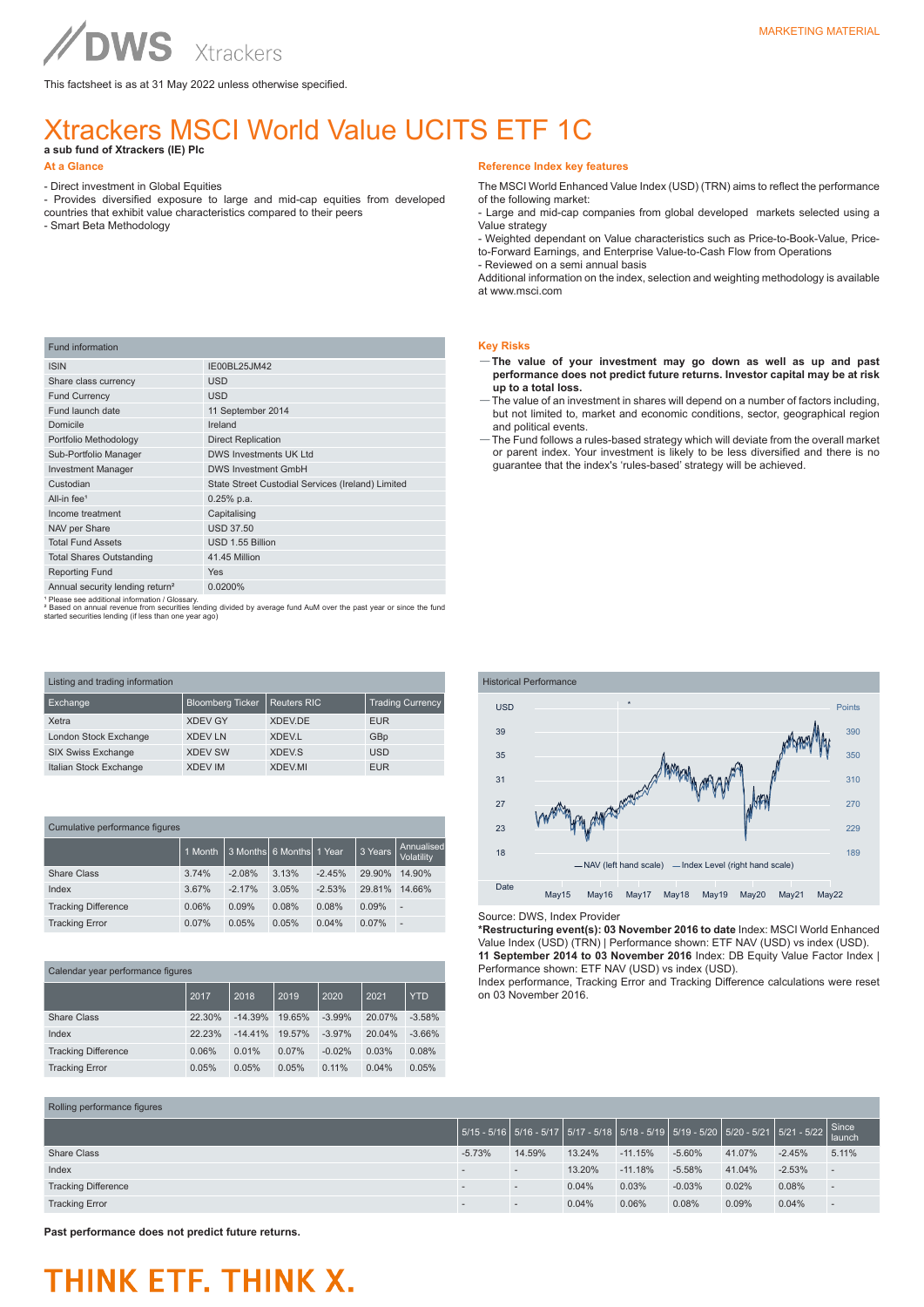This factsheet is as at 31 May 2022 unless otherwise specified.

### Xtrackers MSCI World Value UCITS ETF 1C

**a sub fund of Xtrackers (IE) Plc** 

Fund information

- Direct investment in Global Equities

ISIN IE00BL25JM42 Share class currency USD Fund Currency USD

All-in fee<sup>1</sup> 0.25% p.a. Income treatment Capitalising NAV per Share USD 37.50 **Total Fund Assets USD 1.55 Billion** Total Shares Outstanding **41.45 Million** 

Fund launch date 11 September 2014 Domicile **Ireland** Portfolio Methodology Direct Replication Sub-Portfolio Manager DWS Investments UK Ltd Investment Manager DWS Investment GmbH

- Provides diversified exposure to large and mid-cap equities from developed countries that exhibit value characteristics compared to their peers
- Smart Beta Methodology

#### **Reference Index key features**

The MSCI World Enhanced Value Index (USD) (TRN) aims to reflect the performance of the following market:

- Large and mid-cap companies from global developed markets selected using a Value strategy

- Weighted dependant on Value characteristics such as Price-to-Book-Value, Priceto-Forward Earnings, and Enterprise Value-to-Cash Flow from Operations

- Reviewed on a semi annual basis

Additional information on the index, selection and weighting methodology is available at www.msci.com

#### **Key Risks**

- —**The value of your investment may go down as well as up and past performance does not predict future returns. Investor capital may be at risk up to a total loss.**
- The value of an investment in shares will depend on a number of factors including, but not limited to, market and economic conditions, sector, geographical region and political events.
- —The Fund follows a rules-based strategy which will deviate from the overall market or parent index. Your investment is likely to be less diversified and there is no guarantee that the index's 'rules-based' strategy will be achieved.

Reporting Fund Yes Please see additional information / Glossary

Annual security lending return<sup>2</sup> 0.0200%

² Based on annual revenue from securities lending divided by average fund AuM over the past year or since the fund started securities lending (if less than one year ago)

Custodian State Street Custodial Services (Ireland) Limited

| Listing and trading information |                         |                         |                         |  |
|---------------------------------|-------------------------|-------------------------|-------------------------|--|
| Exchange                        | <b>Bloomberg Ticker</b> | <b>Reuters RIC</b>      | <b>Trading Currency</b> |  |
| Xetra                           | <b>XDEV GY</b>          | XDEV.DE                 | <b>EUR</b>              |  |
| London Stock Exchange           | <b>XDEV LN</b>          | <b>XDEV.L</b>           | GBp                     |  |
| <b>SIX Swiss Exchange</b>       | <b>XDEV SW</b>          | <b>XDEV<sub>S</sub></b> | <b>USD</b>              |  |
| Italian Stock Exchange          | <b>XDEV IM</b>          | <b>XDEV.MI</b>          | <b>EUR</b>              |  |

| Cumulative performance figures |         |          |                 |          |         |                          |
|--------------------------------|---------|----------|-----------------|----------|---------|--------------------------|
|                                | 1 Month | 3 Months | 6 Months 1 Year |          | 3 Years | Annualised<br>Volatility |
| Share Class                    | 3.74%   | $-2.08%$ | 3.13%           | $-2.45%$ | 29.90%  | 14.90%                   |
| Index                          | 3.67%   | $-2.17%$ | 3.05%           | $-2.53%$ | 29.81%  | 14.66%                   |
| <b>Tracking Difference</b>     | 0.06%   | 0.09%    | 0.08%           | 0.08%    | 0.09%   | ٠                        |
| <b>Tracking Error</b>          | 0.07%   | 0.05%    | 0.05%           | 0.04%    | 0.07%   | ÷                        |

#### Calendar year performance figures

|                            | 2017   | 2018      | 2019   | 2020     | 2021   | <b>YTD</b> |
|----------------------------|--------|-----------|--------|----------|--------|------------|
| Share Class                | 22.30% | $-14.39%$ | 19.65% | $-3.99%$ | 20.07% | $-3.58%$   |
| Index                      | 22.23% | $-14.41%$ | 19.57% | $-3.97%$ | 20.04% | $-3.66%$   |
| <b>Tracking Difference</b> | 0.06%  | 0.01%     | 0.07%  | $-0.02%$ | 0.03%  | 0.08%      |
| <b>Tracking Error</b>      | 0.05%  | 0.05%     | 0.05%  | 0.11%    | 0.04%  | 0.05%      |



Source: DWS, Index Provider

**\*Restructuring event(s): 03 November 2016 to date** Index: MSCI World Enhanced Value Index (USD) (TRN) | Performance shown: ETF NAV (USD) vs index (USD). **11 September 2014 to 03 November 2016** Index: DB Equity Value Factor Index | Performance shown: ETF NAV (USD) vs index (USD).

Index performance, Tracking Error and Tracking Difference calculations were reset on 03 November 2016.

| Rolling performance figures |          |        |        |           |          |        |                                                                                                                                                                                 |                          |
|-----------------------------|----------|--------|--------|-----------|----------|--------|---------------------------------------------------------------------------------------------------------------------------------------------------------------------------------|--------------------------|
|                             |          |        |        |           |          |        | $\Big  5/15 \cdot 5/16 \Big  5/16 \cdot 5/17 \Big  5/17 \cdot 5/18 \Big  5/18 \cdot 5/19 \Big  5/19 \cdot 5/20 \Big  5/20 \cdot 5/21 \Big  5/21 \cdot 5/22 \Big  8 \text{ince}$ |                          |
| <b>Share Class</b>          | $-5.73%$ | 14.59% | 13.24% | $-11.15%$ | $-5.60%$ | 41.07% | $-2.45%$                                                                                                                                                                        | 5.11%                    |
| Index                       |          | $\sim$ | 13.20% | $-11.18%$ | $-5.58%$ | 41.04% | $-2.53%$                                                                                                                                                                        | $\overline{\phantom{a}}$ |
| <b>Tracking Difference</b>  |          | $\sim$ | 0.04%  | 0.03%     | $-0.03%$ | 0.02%  | 0.08%                                                                                                                                                                           | $\sim$                   |
| <b>Tracking Error</b>       |          |        | 0.04%  | 0.06%     | 0.08%    | 0.09%  | 0.04%                                                                                                                                                                           | $\overline{\phantom{a}}$ |

**Past performance does not predict future returns.**

# **OWS**

## THINK ETF. THINK X.

**At a Glance**